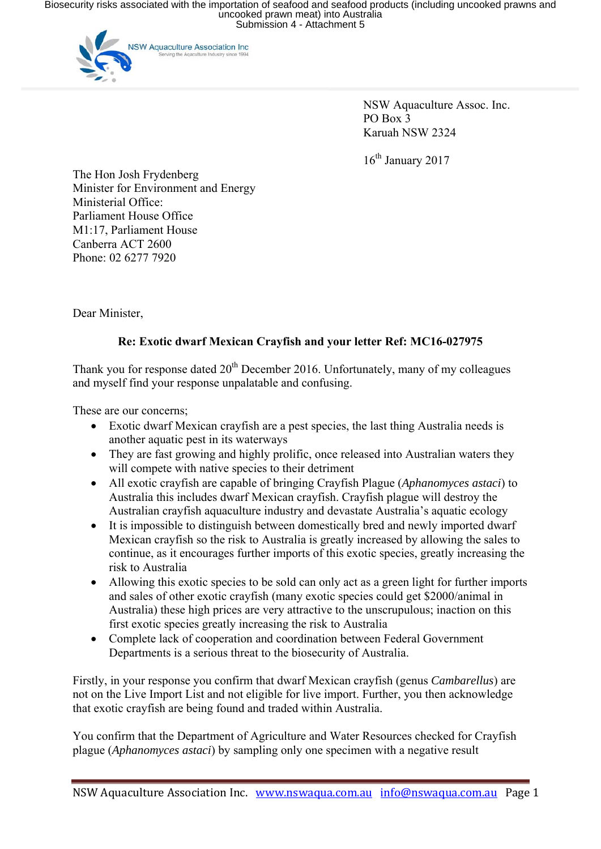Biosecurity risks associated with the importation of seafood and seafood products (including uncooked prawns and<br>uncooked prawn meat) into Australia<br>Submission 4 - Attachment 5



 NSW Aquaculture Assoc. Inc. PO Box 3 Karuah NSW 2324

16<sup>th</sup> January 2017

The Hon Josh Frydenberg Minister for Environment and Energy Ministerial Office: Parliament House Office M1:17, Parliament House Canberra ACT 2600 Phone: 02 6277 7920

Dear Minister,

## **Re: Exotic dwarf Mexican Crayfish and your letter Ref: MC16-027975**

Thank you for response dated  $20<sup>th</sup>$  December 2016. Unfortunately, many of my colleagues and myself find your response unpalatable and confusing.

These are our concerns;

- Exotic dwarf Mexican crayfish are a pest species, the last thing Australia needs is another aquatic pest in its waterways
- They are fast growing and highly prolific, once released into Australian waters they will compete with native species to their detriment
- All exotic crayfish are capable of bringing Crayfish Plague (*Aphanomyces astaci*) to Australia this includes dwarf Mexican crayfish. Crayfish plague will destroy the Australian crayfish aquaculture industry and devastate Australia's aquatic ecology
- It is impossible to distinguish between domestically bred and newly imported dwarf Mexican crayfish so the risk to Australia is greatly increased by allowing the sales to continue, as it encourages further imports of this exotic species, greatly increasing the risk to Australia
- Allowing this exotic species to be sold can only act as a green light for further imports and sales of other exotic crayfish (many exotic species could get \$2000/animal in Australia) these high prices are very attractive to the unscrupulous; inaction on this first exotic species greatly increasing the risk to Australia
- Complete lack of cooperation and coordination between Federal Government Departments is a serious threat to the biosecurity of Australia.

Firstly, in your response you confirm that dwarf Mexican crayfish (genus *Cambarellus*) are not on the Live Import List and not eligible for live import. Further, you then acknowledge that exotic crayfish are being found and traded within Australia.

You confirm that the Department of Agriculture and Water Resources checked for Crayfish plague (*Aphanomyces astaci*) by sampling only one specimen with a negative result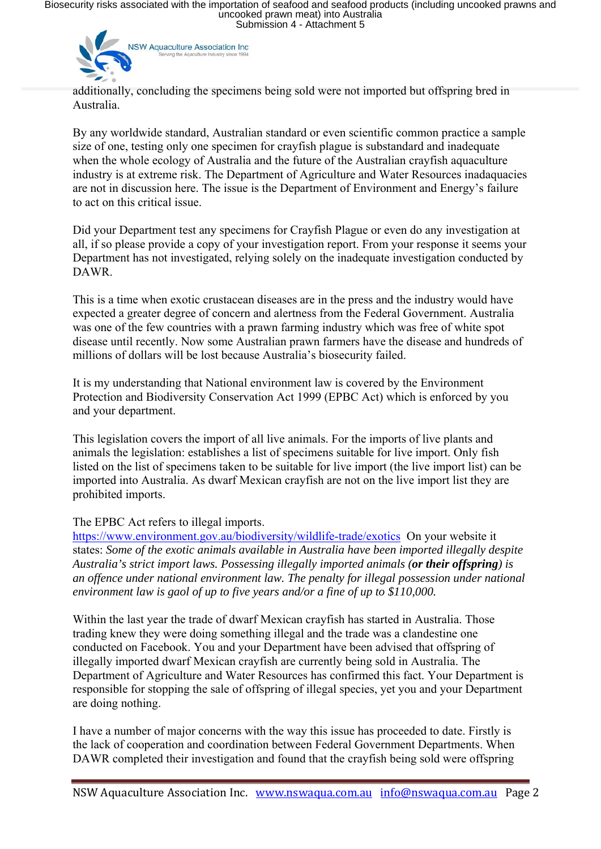Biosecurity risks associated with the importation of seafood and seafood products (including uncooked prawns and<br>uncooked prawn meat) into Australia<br>Submission 4 - Attachment 5



additionally, concluding the specimens being sold were not imported but offspring bred in Australia.

By any worldwide standard, Australian standard or even scientific common practice a sample size of one, testing only one specimen for crayfish plague is substandard and inadequate when the whole ecology of Australia and the future of the Australian crayfish aquaculture industry is at extreme risk. The Department of Agriculture and Water Resources inadaquacies are not in discussion here. The issue is the Department of Environment and Energy's failure to act on this critical issue.

Did your Department test any specimens for Crayfish Plague or even do any investigation at all, if so please provide a copy of your investigation report. From your response it seems your Department has not investigated, relying solely on the inadequate investigation conducted by DAWR.

This is a time when exotic crustacean diseases are in the press and the industry would have expected a greater degree of concern and alertness from the Federal Government. Australia was one of the few countries with a prawn farming industry which was free of white spot disease until recently. Now some Australian prawn farmers have the disease and hundreds of millions of dollars will be lost because Australia's biosecurity failed.

It is my understanding that National environment law is covered by the Environment Protection and Biodiversity Conservation Act 1999 (EPBC Act) which is enforced by you and your department.

This legislation covers the import of all live animals. For the imports of live plants and animals the legislation: establishes a list of specimens suitable for live import. Only fish listed on the list of specimens taken to be suitable for live import (the live import list) can be imported into Australia. As dwarf Mexican crayfish are not on the live import list they are prohibited imports.

The EPBC Act refers to illegal imports.

https://www.environment.gov.au/biodiversity/wildlife-trade/exotics On your website it states: *Some of the exotic animals available in Australia have been imported illegally despite Australia's strict import laws. Possessing illegally imported animals (or their offspring) is an offence under national environment law. The penalty for illegal possession under national environment law is gaol of up to five years and/or a fine of up to \$110,000.* 

Within the last year the trade of dwarf Mexican crayfish has started in Australia. Those trading knew they were doing something illegal and the trade was a clandestine one conducted on Facebook. You and your Department have been advised that offspring of illegally imported dwarf Mexican crayfish are currently being sold in Australia. The Department of Agriculture and Water Resources has confirmed this fact. Your Department is responsible for stopping the sale of offspring of illegal species, yet you and your Department are doing nothing.

I have a number of major concerns with the way this issue has proceeded to date. Firstly is the lack of cooperation and coordination between Federal Government Departments. When DAWR completed their investigation and found that the crayfish being sold were offspring